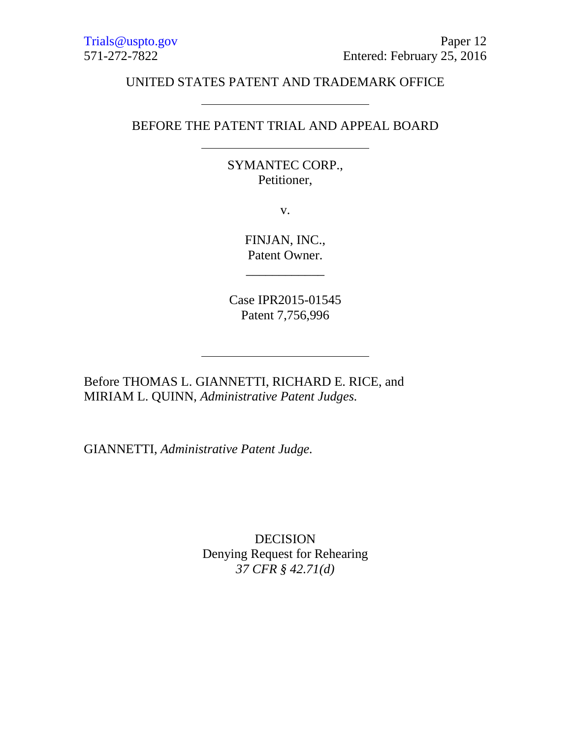## UNITED STATES PATENT AND TRADEMARK OFFICE

## BEFORE THE PATENT TRIAL AND APPEAL BOARD

SYMANTEC CORP., Petitioner,

v.

FINJAN, INC., Patent Owner.

\_\_\_\_\_\_\_\_\_\_\_\_

Case IPR2015-01545 Patent 7,756,996

Before THOMAS L. GIANNETTI, RICHARD E. RICE, and MIRIAM L. QUINN, *Administrative Patent Judges.*

GIANNETTI, *Administrative Patent Judge.*

DECISION Denying Request for Rehearing *37 CFR § 42.71(d)*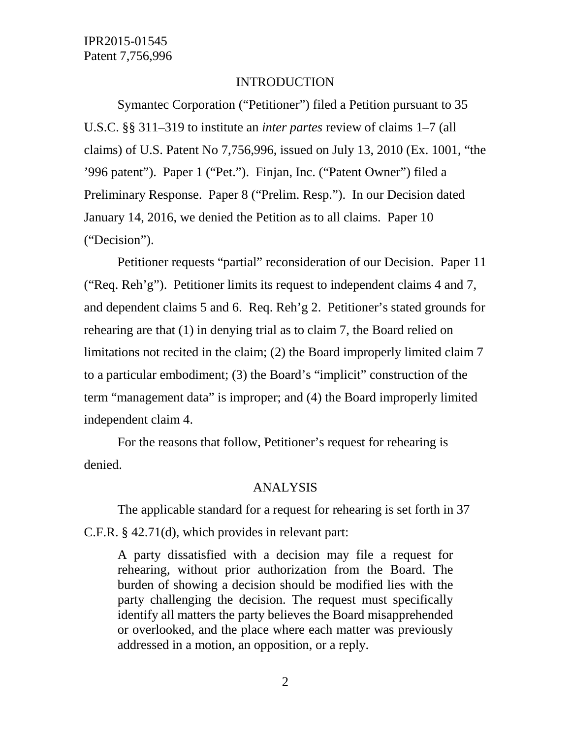#### INTRODUCTION

Symantec Corporation ("Petitioner") filed a Petition pursuant to 35 U.S.C. §§ 311–319 to institute an *inter partes* review of claims 1–7 (all claims) of U.S. Patent No 7,756,996, issued on July 13, 2010 (Ex. 1001, "the '996 patent"). Paper 1 ("Pet."). Finjan, Inc. ("Patent Owner") filed a Preliminary Response. Paper 8 ("Prelim. Resp."). In our Decision dated January 14, 2016, we denied the Petition as to all claims. Paper 10 ("Decision").

Petitioner requests "partial" reconsideration of our Decision. Paper 11 ("Req. Reh'g"). Petitioner limits its request to independent claims 4 and 7, and dependent claims 5 and 6. Req. Reh'g 2. Petitioner's stated grounds for rehearing are that (1) in denying trial as to claim 7, the Board relied on limitations not recited in the claim; (2) the Board improperly limited claim 7 to a particular embodiment; (3) the Board's "implicit" construction of the term "management data" is improper; and (4) the Board improperly limited independent claim 4.

For the reasons that follow, Petitioner's request for rehearing is denied.

#### ANALYSIS

The applicable standard for a request for rehearing is set forth in 37 C.F.R. § 42.71(d), which provides in relevant part:

A party dissatisfied with a decision may file a request for rehearing, without prior authorization from the Board. The burden of showing a decision should be modified lies with the party challenging the decision. The request must specifically identify all matters the party believes the Board misapprehended or overlooked, and the place where each matter was previously addressed in a motion, an opposition, or a reply.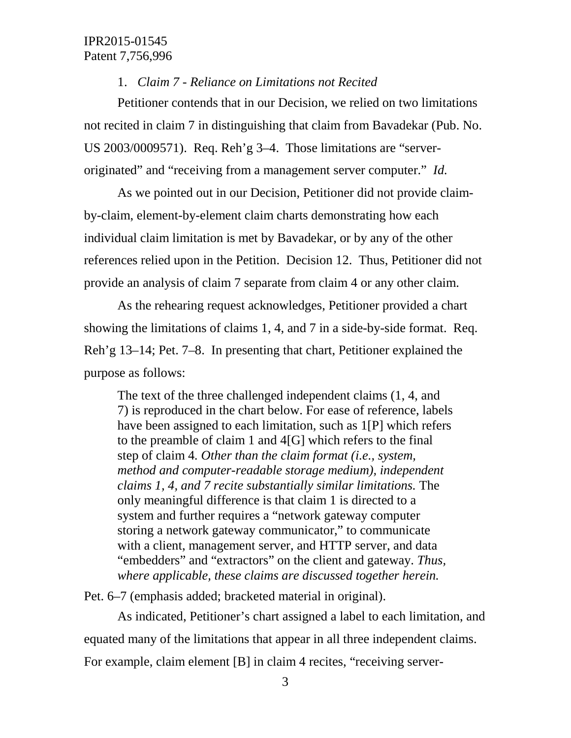1. *Claim 7 - Reliance on Limitations not Recited*

Petitioner contends that in our Decision, we relied on two limitations not recited in claim 7 in distinguishing that claim from Bavadekar (Pub. No. US 2003/0009571). Req. Reh'g 3–4. Those limitations are "serveroriginated" and "receiving from a management server computer." *Id.*

As we pointed out in our Decision, Petitioner did not provide claimby-claim, element-by-element claim charts demonstrating how each individual claim limitation is met by Bavadekar, or by any of the other references relied upon in the Petition. Decision 12. Thus, Petitioner did not provide an analysis of claim 7 separate from claim 4 or any other claim.

As the rehearing request acknowledges, Petitioner provided a chart showing the limitations of claims 1, 4, and 7 in a side-by-side format. Req. Reh'g 13–14; Pet. 7–8. In presenting that chart, Petitioner explained the purpose as follows:

The text of the three challenged independent claims (1, 4, and 7) is reproduced in the chart below. For ease of reference, labels have been assigned to each limitation, such as 1[P] which refers to the preamble of claim 1 and 4[G] which refers to the final step of claim 4*. Other than the claim format (i.e., system, method and computer-readable storage medium), independent claims 1, 4, and 7 recite substantially similar limitations.* The only meaningful difference is that claim 1 is directed to a system and further requires a "network gateway computer storing a network gateway communicator," to communicate with a client, management server, and HTTP server, and data "embedders" and "extractors" on the client and gateway. *Thus, where applicable, these claims are discussed together herein.*

Pet. 6–7 (emphasis added; bracketed material in original).

As indicated, Petitioner's chart assigned a label to each limitation, and equated many of the limitations that appear in all three independent claims. For example, claim element [B] in claim 4 recites, "receiving server-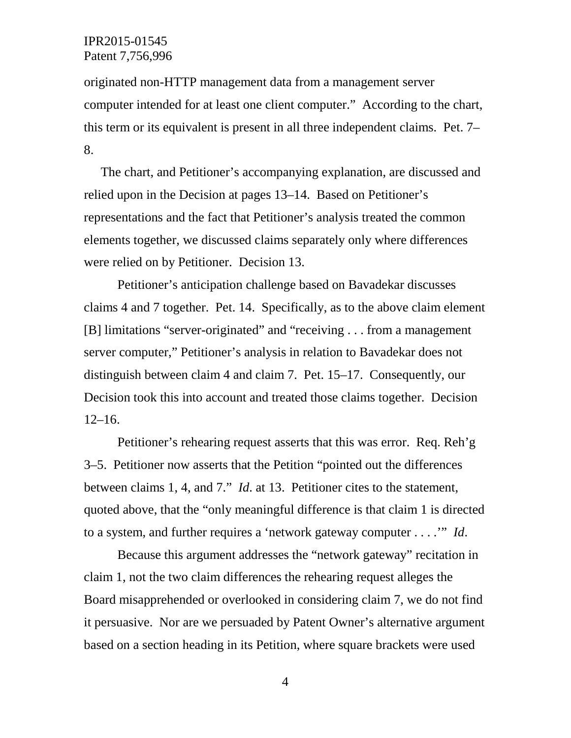originated non-HTTP management data from a management server computer intended for at least one client computer." According to the chart, this term or its equivalent is present in all three independent claims. Pet. 7– 8.

The chart, and Petitioner's accompanying explanation, are discussed and relied upon in the Decision at pages 13–14. Based on Petitioner's representations and the fact that Petitioner's analysis treated the common elements together, we discussed claims separately only where differences were relied on by Petitioner. Decision 13.

Petitioner's anticipation challenge based on Bavadekar discusses claims 4 and 7 together. Pet. 14. Specifically, as to the above claim element [B] limitations "server-originated" and "receiving . . . from a management server computer," Petitioner's analysis in relation to Bavadekar does not distinguish between claim 4 and claim 7. Pet. 15–17. Consequently, our Decision took this into account and treated those claims together. Decision  $12-16.$ 

Petitioner's rehearing request asserts that this was error. Req. Reh'g 3–5. Petitioner now asserts that the Petition "pointed out the differences between claims 1, 4, and 7." *Id*. at 13. Petitioner cites to the statement, quoted above, that the "only meaningful difference is that claim 1 is directed to a system, and further requires a 'network gateway computer . . . .'" *Id*.

Because this argument addresses the "network gateway" recitation in claim 1, not the two claim differences the rehearing request alleges the Board misapprehended or overlooked in considering claim 7, we do not find it persuasive. Nor are we persuaded by Patent Owner's alternative argument based on a section heading in its Petition, where square brackets were used

4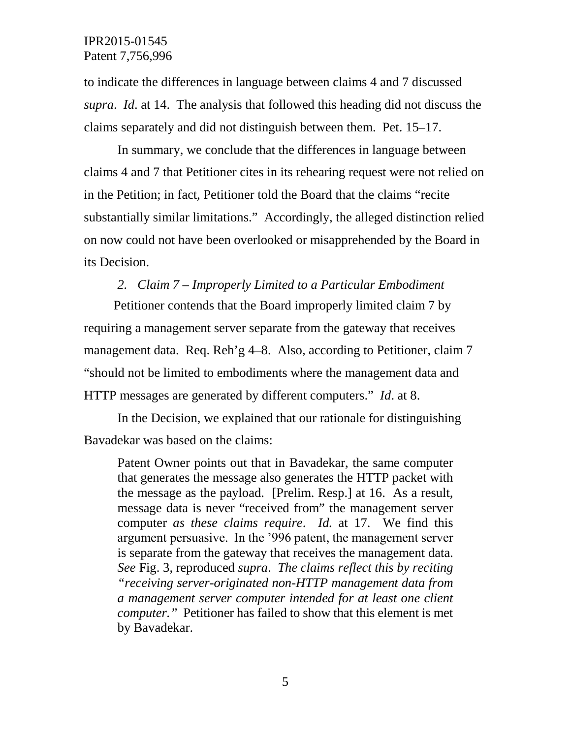to indicate the differences in language between claims 4 and 7 discussed *supra*. *Id*. at 14. The analysis that followed this heading did not discuss the claims separately and did not distinguish between them. Pet. 15–17.

In summary, we conclude that the differences in language between claims 4 and 7 that Petitioner cites in its rehearing request were not relied on in the Petition; in fact, Petitioner told the Board that the claims "recite substantially similar limitations." Accordingly, the alleged distinction relied on now could not have been overlooked or misapprehended by the Board in its Decision.

# *2. Claim 7 – Improperly Limited to a Particular Embodiment*

 Petitioner contends that the Board improperly limited claim 7 by requiring a management server separate from the gateway that receives management data. Req. Reh'g 4–8. Also, according to Petitioner, claim 7 "should not be limited to embodiments where the management data and HTTP messages are generated by different computers." *Id*. at 8.

In the Decision, we explained that our rationale for distinguishing Bavadekar was based on the claims:

Patent Owner points out that in Bavadekar, the same computer that generates the message also generates the HTTP packet with the message as the payload. [Prelim. Resp.] at 16. As a result, message data is never "received from" the management server computer *as these claims require*. *Id.* at 17. We find this argument persuasive. In the '996 patent, the management server is separate from the gateway that receives the management data. *See* Fig. 3, reproduced *supra*. *The claims reflect this by reciting "receiving server-originated non-HTTP management data from a management server computer intended for at least one client computer."* Petitioner has failed to show that this element is met by Bavadekar.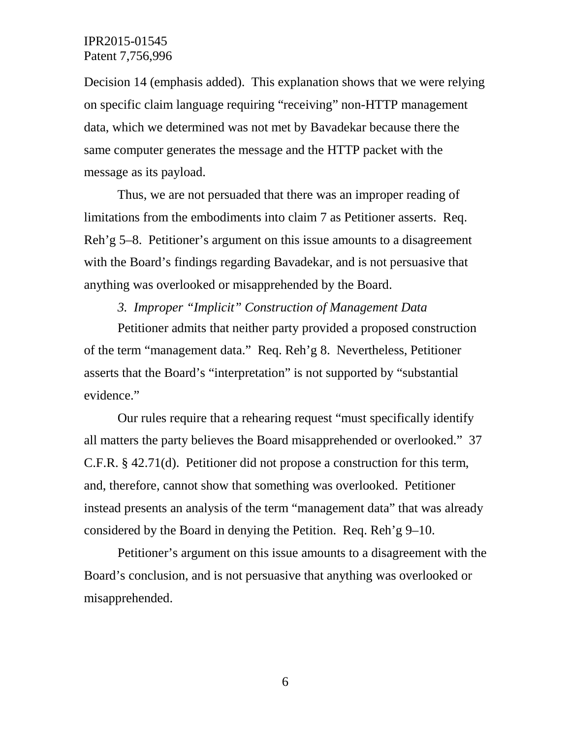Decision 14 (emphasis added). This explanation shows that we were relying on specific claim language requiring "receiving" non-HTTP management data, which we determined was not met by Bavadekar because there the same computer generates the message and the HTTP packet with the message as its payload.

Thus, we are not persuaded that there was an improper reading of limitations from the embodiments into claim 7 as Petitioner asserts. Req. Reh'g 5–8. Petitioner's argument on this issue amounts to a disagreement with the Board's findings regarding Bavadekar, and is not persuasive that anything was overlooked or misapprehended by the Board.

#### *3. Improper "Implicit" Construction of Management Data*

Petitioner admits that neither party provided a proposed construction of the term "management data." Req. Reh'g 8. Nevertheless, Petitioner asserts that the Board's "interpretation" is not supported by "substantial evidence."

Our rules require that a rehearing request "must specifically identify all matters the party believes the Board misapprehended or overlooked." 37 C.F.R. § 42.71(d). Petitioner did not propose a construction for this term, and, therefore, cannot show that something was overlooked. Petitioner instead presents an analysis of the term "management data" that was already considered by the Board in denying the Petition. Req. Reh'g 9–10.

Petitioner's argument on this issue amounts to a disagreement with the Board's conclusion, and is not persuasive that anything was overlooked or misapprehended.

6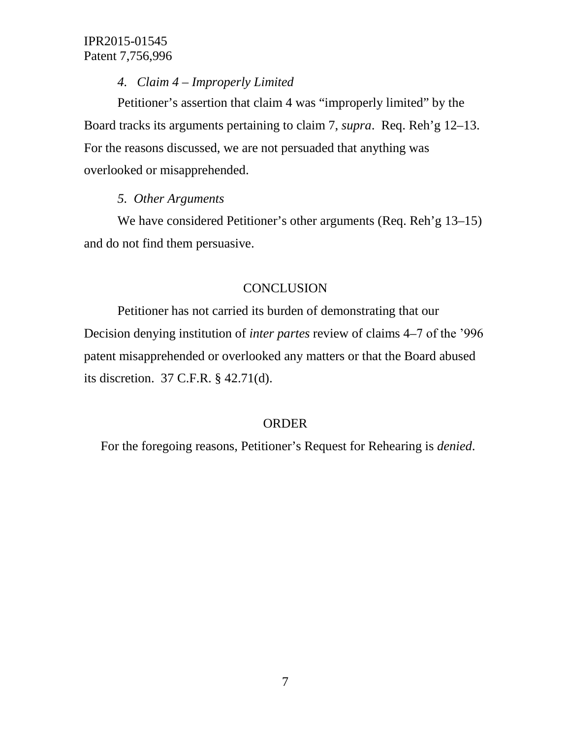### *4. Claim 4 – Improperly Limited*

Petitioner's assertion that claim 4 was "improperly limited" by the Board tracks its arguments pertaining to claim 7, *supra*. Req. Reh'g 12–13. For the reasons discussed, we are not persuaded that anything was overlooked or misapprehended.

## *5. Other Arguments*

We have considered Petitioner's other arguments (Req. Reh'g 13–15) and do not find them persuasive.

### **CONCLUSION**

Petitioner has not carried its burden of demonstrating that our Decision denying institution of *inter partes* review of claims 4–7 of the '996 patent misapprehended or overlooked any matters or that the Board abused its discretion. 37 C.F.R. § 42.71(d).

#### ORDER

For the foregoing reasons, Petitioner's Request for Rehearing is *denied*.